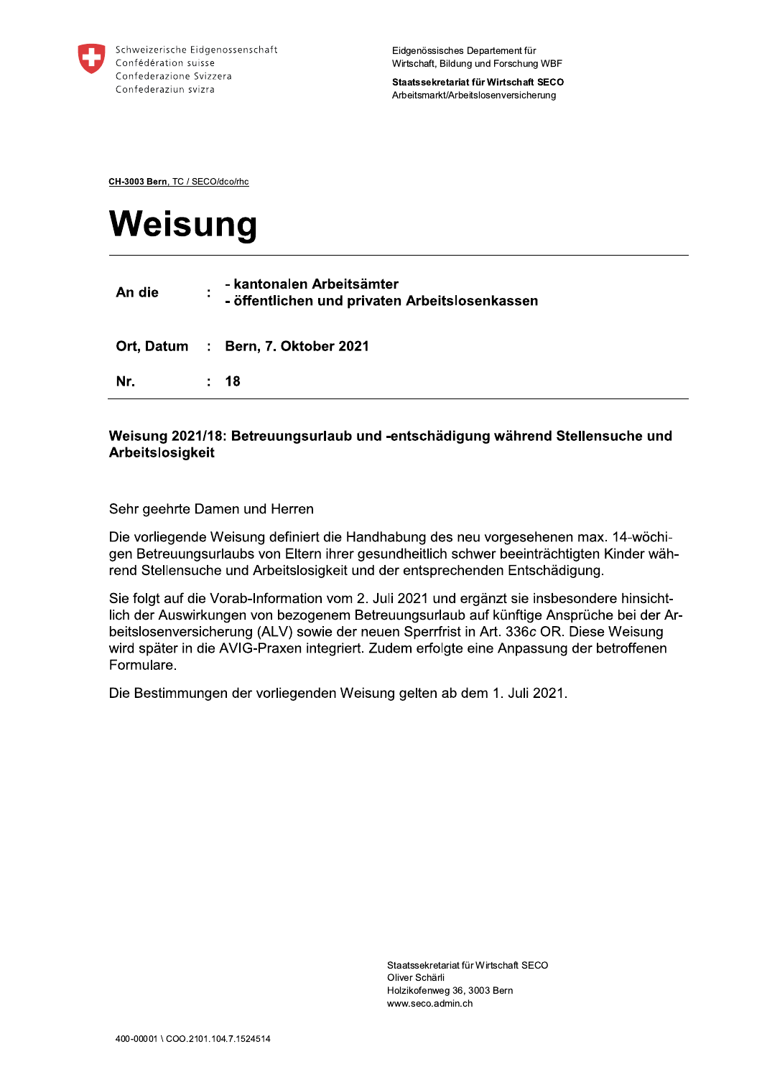

Staatssekretariat für Wirtschaft SECO Arbeitsmarkt/Arbeitslosenversicherung

CH-3003 Bern, TC / SECO/dco/rhc

# Weisung

| An die | ٠ | - kantonalen Arbeitsämter<br>- öffentlichen und privaten Arbeitslosenkassen |
|--------|---|-----------------------------------------------------------------------------|
|        |   | Ort, Datum : Bern, 7. Oktober 2021                                          |
| Nr.    |   | : 18                                                                        |

## Weisung 2021/18: Betreuungsurlaub und -entschädigung während Stellensuche und Arbeitslosigkeit

Sehr geehrte Damen und Herren

Die vorliegende Weisung definiert die Handhabung des neu vorgesehenen max. 14-wöchigen Betreuungsurlaubs von Eltern ihrer gesundheitlich schwer beeinträchtigten Kinder während Stellensuche und Arbeitslosigkeit und der entsprechenden Entschädigung.

Sie folgt auf die Vorab-Information vom 2. Juli 2021 und ergänzt sie insbesondere hinsichtlich der Auswirkungen von bezogenem Betreuungsurlaub auf künftige Ansprüche bei der Arbeitslosenversicherung (ALV) sowie der neuen Sperrfrist in Art. 336c OR. Diese Weisung wird später in die AVIG-Praxen integriert. Zudem erfolgte eine Anpassung der betroffenen Formulare.

Die Bestimmungen der vorliegenden Weisung gelten ab dem 1. Juli 2021.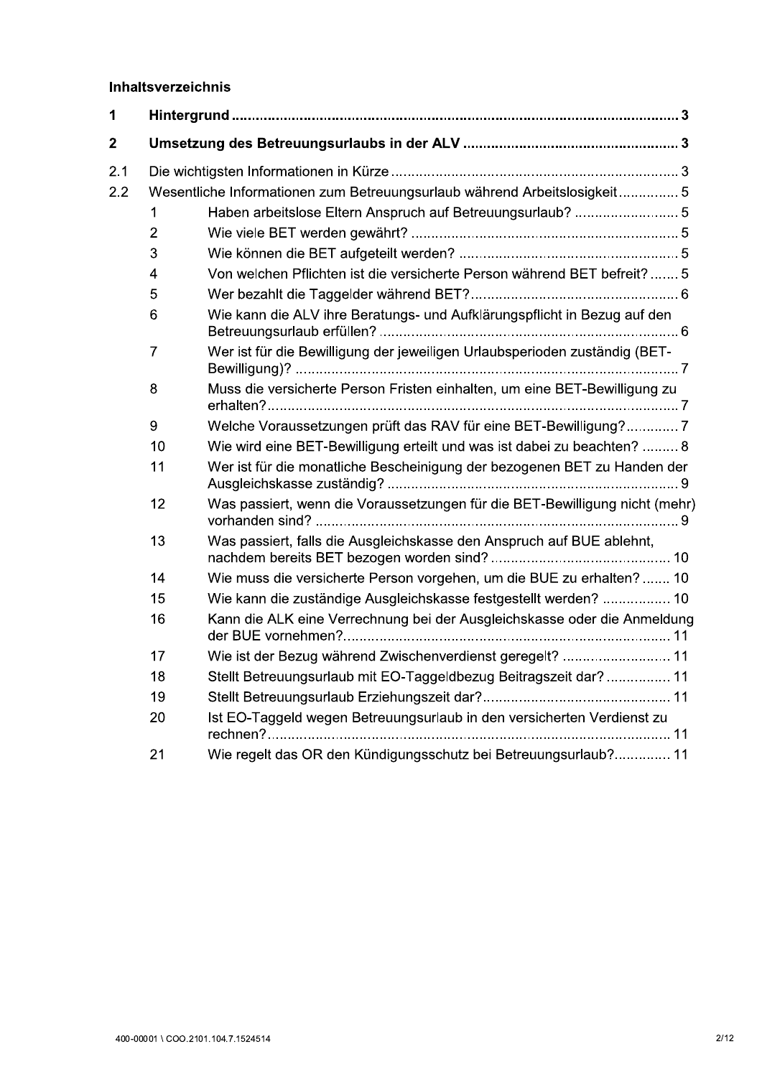## **Innaitsverzeichnis**

|              | <b>Inhaltsverzeichnis</b>                                                 |                                                                             |  |  |
|--------------|---------------------------------------------------------------------------|-----------------------------------------------------------------------------|--|--|
| 1            |                                                                           |                                                                             |  |  |
| $\mathbf{2}$ |                                                                           |                                                                             |  |  |
| 2.1          |                                                                           |                                                                             |  |  |
| 2.2          | Wesentliche Informationen zum Betreuungsurlaub während Arbeitslosigkeit 5 |                                                                             |  |  |
|              | 1                                                                         | Haben arbeitslose Eltern Anspruch auf Betreuungsurlaub?  5                  |  |  |
|              | $\overline{2}$                                                            |                                                                             |  |  |
|              | 3                                                                         |                                                                             |  |  |
|              | 4                                                                         | Von welchen Pflichten ist die versicherte Person während BET befreit? 5     |  |  |
|              | 5                                                                         |                                                                             |  |  |
|              | 6                                                                         | Wie kann die ALV ihre Beratungs- und Aufklärungspflicht in Bezug auf den    |  |  |
|              | $\overline{7}$                                                            | Wer ist für die Bewilligung der jeweiligen Urlaubsperioden zuständig (BET-  |  |  |
|              | 8                                                                         | Muss die versicherte Person Fristen einhalten, um eine BET-Bewilligung zu   |  |  |
|              | 9                                                                         | Welche Voraussetzungen prüft das RAV für eine BET-Bewilligung? 7            |  |  |
|              | 10                                                                        | Wie wird eine BET-Bewilligung erteilt und was ist dabei zu beachten?  8     |  |  |
|              | 11                                                                        | Wer ist für die monatliche Bescheinigung der bezogenen BET zu Handen der    |  |  |
|              | 12                                                                        | Was passiert, wenn die Voraussetzungen für die BET-Bewilligung nicht (mehr) |  |  |
|              | 13                                                                        | Was passiert, falls die Ausgleichskasse den Anspruch auf BUE ablehnt,       |  |  |
|              | 14                                                                        | Wie muss die versicherte Person vorgehen, um die BUE zu erhalten? 10        |  |  |
|              | 15                                                                        | Wie kann die zuständige Ausgleichskasse festgestellt werden?  10            |  |  |
|              | 16                                                                        | Kann die ALK eine Verrechnung bei der Ausgleichskasse oder die Anmeldung    |  |  |
|              | 17                                                                        | Wie ist der Bezug während Zwischenverdienst geregelt?  11                   |  |  |
|              | 18                                                                        | Stellt Betreuungsurlaub mit EO-Taggeldbezug Beitragszeit dar? 11            |  |  |
|              | 19                                                                        |                                                                             |  |  |
|              | 20                                                                        | Ist EO-Taggeld wegen Betreuungsurlaub in den versicherten Verdienst zu      |  |  |
|              | 21                                                                        | Wie regelt das OR den Kündigungsschutz bei Betreuungsurlaub? 11             |  |  |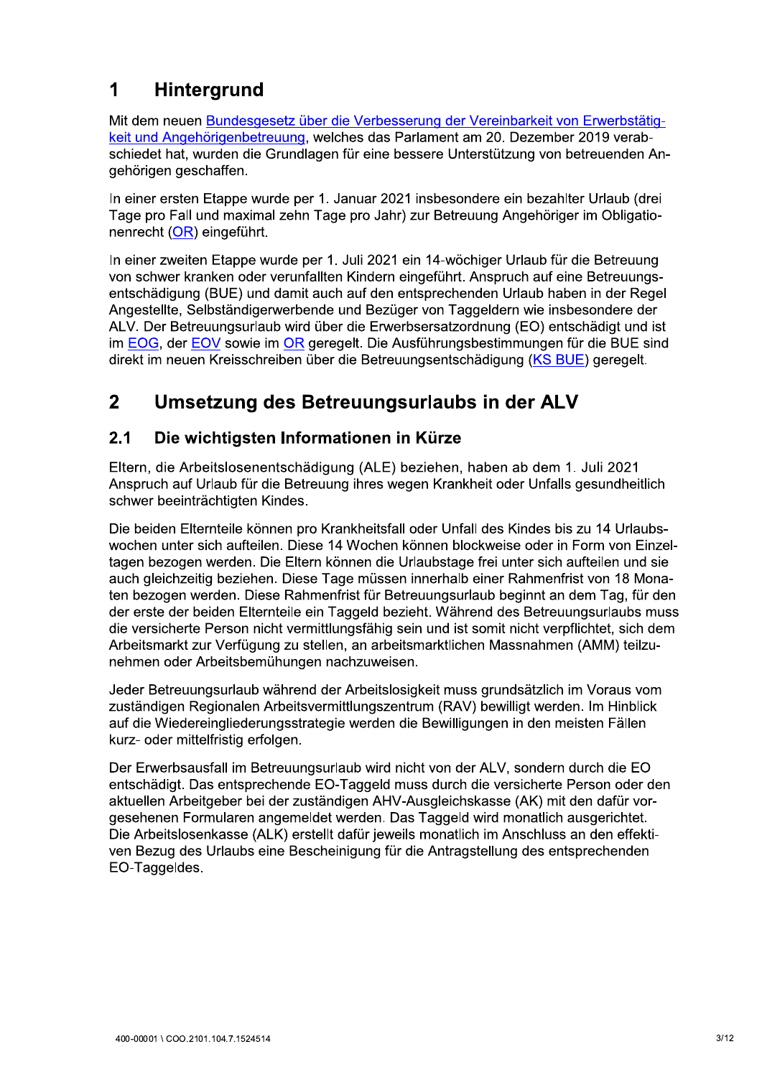## $\mathbf 1$ **Hintergrund**

Mit dem neuen Bundesgesetz über die Verbesserung der Vereinbarkeit von Erwerbstätigkeit und Angehörigenbetreuung, welches das Parlament am 20. Dezember 2019 verabschiedet hat, wurden die Grundlagen für eine bessere Unterstützung von betreuenden Angehörigen geschaffen.

In einer ersten Etappe wurde per 1. Januar 2021 insbesondere ein bezahlter Urlaub (drei Tage pro Fall und maximal zehn Tage pro Jahr) zur Betreuung Angehöriger im Obligationenrecht (OR) eingeführt.

In einer zweiten Etappe wurde per 1. Juli 2021 ein 14-wöchiger Urlaub für die Betreuung von schwer kranken oder verunfallten Kindern eingeführt. Anspruch auf eine Betreuungsentschädigung (BUE) und damit auch auf den entsprechenden Urlaub haben in der Regel Angestellte, Selbständigerwerbende und Bezüger von Taggeldern wie insbesondere der ALV. Der Betreuungsurlaub wird über die Erwerbsersatzordnung (EO) entschädigt und ist im EOG, der EOV sowie im OR geregelt. Die Ausführungsbestimmungen für die BUE sind direkt im neuen Kreisschreiben über die Betreuungsentschädigung (KS BUE) geregelt.

## $\overline{2}$ Umsetzung des Betreuungsurlaubs in der ALV

## $2.1$ Die wichtigsten Informationen in Kürze

Eltern, die Arbeitslosenentschädigung (ALE) beziehen, haben ab dem 1. Juli 2021 Anspruch auf Urlaub für die Betreuung ihres wegen Krankheit oder Unfalls gesundheitlich schwer beeinträchtigten Kindes.

Die beiden Elternteile können pro Krankheitsfall oder Unfall des Kindes bis zu 14 Urlaubswochen unter sich aufteilen. Diese 14 Wochen können blockweise oder in Form von Einzeltagen bezogen werden. Die Eltern können die Urlaubstage frei unter sich aufteilen und sie auch gleichzeitig beziehen. Diese Tage müssen innerhalb einer Rahmenfrist von 18 Monaten bezogen werden. Diese Rahmenfrist für Betreuungsurlaub beginnt an dem Tag, für den der erste der beiden Elternteile ein Taggeld bezieht. Während des Betreuungsurlaubs muss die versicherte Person nicht vermittlungsfähig sein und ist somit nicht verpflichtet, sich dem Arbeitsmarkt zur Verfügung zu stellen, an arbeitsmarktlichen Massnahmen (AMM) teilzunehmen oder Arbeitsbemühungen nachzuweisen.

Jeder Betreuungsurlaub während der Arbeitslosigkeit muss grundsätzlich im Voraus vom zuständigen Regionalen Arbeitsvermittlungszentrum (RAV) bewilligt werden. Im Hinblick auf die Wiedereingliederungsstrategie werden die Bewilligungen in den meisten Fällen kurz- oder mittelfristig erfolgen.

Der Erwerbsausfall im Betreuungsurlaub wird nicht von der ALV, sondern durch die EO entschädigt. Das entsprechende EO-Taggeld muss durch die versicherte Person oder den aktuellen Arbeitgeber bei der zuständigen AHV-Ausgleichskasse (AK) mit den dafür vorgesehenen Formularen angemeldet werden. Das Taggeld wird monatlich ausgerichtet. Die Arbeitslosenkasse (ALK) erstellt dafür jeweils monatlich im Anschluss an den effektiven Bezug des Urlaubs eine Bescheinigung für die Antragstellung des entsprechenden EO-Taggeldes.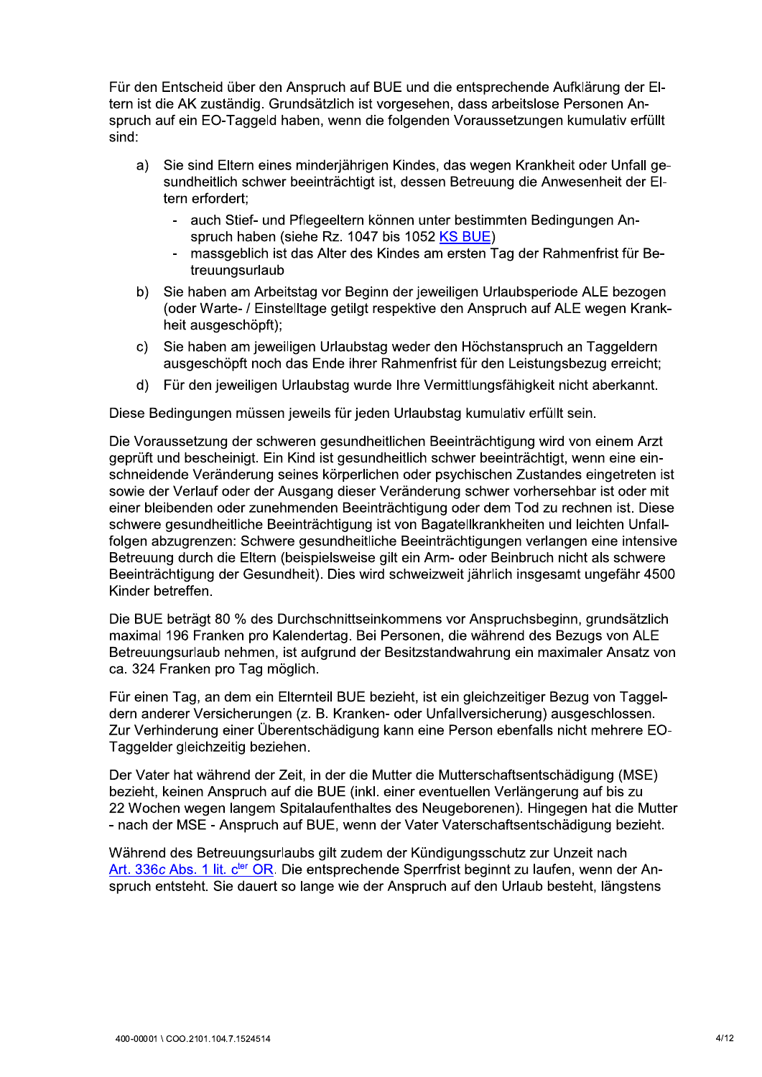Für den Entscheid über den Anspruch auf BUE und die entsprechende Aufklärung der EItern ist die AK zuständig. Grundsätzlich ist vorgesehen, dass arbeitslose Personen Anspruch auf ein EO-Taggeld haben, wenn die folgenden Voraussetzungen kumulativ erfüllt sind:

- Sie sind Eltern eines minderjährigen Kindes, das wegen Krankheit oder Unfall ge $a)$ sundheitlich schwer beeinträchtigt ist, dessen Betreuung die Anwesenheit der Eltern erfordert:
	- auch Stief- und Pflegeeltern können unter bestimmten Bedingungen Anspruch haben (siehe Rz. 1047 bis 1052 KS BUE)
	- massgeblich ist das Alter des Kindes am ersten Tag der Rahmenfrist für Betreuungsurlaub
- Sie haben am Arbeitstag vor Beginn der jeweiligen Urlaubsperiode ALE bezogen  $b)$ (oder Warte- / Einstelltage getilgt respektive den Anspruch auf ALE wegen Krankheit ausgeschöpft);
- Sie haben am jeweiligen Urlaubstag weder den Höchstanspruch an Taggeldern  $c)$ ausgeschöpft noch das Ende ihrer Rahmenfrist für den Leistungsbezug erreicht;
- Für den jeweiligen Urlaubstag wurde Ihre Vermittlungsfähigkeit nicht aberkannt.  $d)$

Diese Bedingungen müssen jeweils für jeden Urlaubstag kumulativ erfüllt sein.

Die Voraussetzung der schweren gesundheitlichen Beeinträchtigung wird von einem Arzt geprüft und bescheinigt. Ein Kind ist gesundheitlich schwer beeinträchtigt, wenn eine einschneidende Veränderung seines körperlichen oder psychischen Zustandes eingetreten ist sowie der Verlauf oder der Ausgang dieser Veränderung schwer vorhersehbar ist oder mit einer bleibenden oder zunehmenden Beeinträchtigung oder dem Tod zu rechnen ist. Diese schwere gesundheitliche Beeinträchtigung ist von Bagatellkrankheiten und leichten Unfallfolgen abzugrenzen: Schwere gesundheitliche Beeinträchtigungen verlangen eine intensive Betreuung durch die Eltern (beispielsweise gilt ein Arm- oder Beinbruch nicht als schwere Beeinträchtigung der Gesundheit). Dies wird schweizweit jährlich insgesamt ungefähr 4500 Kinder betreffen.

Die BUE beträgt 80 % des Durchschnittseinkommens vor Anspruchsbeginn, grundsätzlich maximal 196 Franken pro Kalendertag. Bei Personen, die während des Bezugs von ALE Betreuungsurlaub nehmen, ist aufgrund der Besitzstandwahrung ein maximaler Ansatz von ca. 324 Franken pro Tag möglich.

Für einen Tag, an dem ein Elternteil BUE bezieht, ist ein gleichzeitiger Bezug von Taggeldern anderer Versicherungen (z. B. Kranken- oder Unfallversicherung) ausgeschlossen. Zur Verhinderung einer Überentschädigung kann eine Person ebenfalls nicht mehrere EO-Taggelder gleichzeitig beziehen.

Der Vater hat während der Zeit, in der die Mutter die Mutterschaftsentschädigung (MSE) bezieht, keinen Anspruch auf die BUE (inkl. einer eventuellen Verlängerung auf bis zu 22 Wochen wegen langem Spitalaufenthaltes des Neugeborenen). Hingegen hat die Mutter - nach der MSE - Anspruch auf BUE, wenn der Vater Vaterschaftsentschädigung bezieht.

Während des Betreuungsurlaubs gilt zudem der Kündigungsschutz zur Unzeit nach Art. 336c Abs. 1 lit. c<sup>ter</sup> OR. Die entsprechende Sperrfrist beginnt zu laufen, wenn der Anspruch entsteht. Sie dauert so lange wie der Anspruch auf den Urlaub besteht, längstens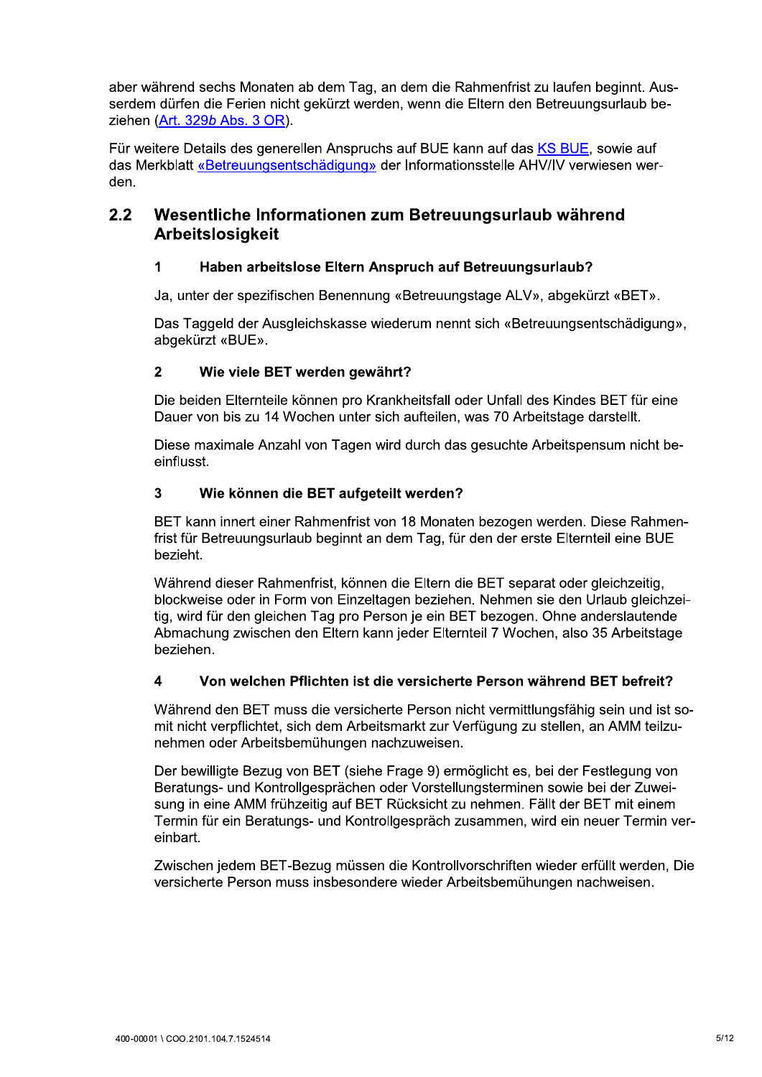aber während sechs Monaten ab dem Tag, an dem die Rahmenfrist zu laufen beginnt. Ausserdem dürfen die Ferien nicht gekürzt werden, wenn die Eltern den Betreuungsurlaub beziehen (Art. 329b Abs. 3 OR).

Für weitere Details des generellen Anspruchs auf BUE kann auf das KS BUE, sowie auf das Merkblatt «Betreuungsentschädigung» der Informationsstelle AHV/IV verwiesen werden.

## $2.2$ Wesentliche Informationen zum Betreuungsurlaub während Arbeitslosigkeit

## $\mathbf{1}$ Haben arbeitslose Eltern Anspruch auf Betreuungsurlaub?

Ja, unter der spezifischen Benennung «Betreuungstage ALV», abgekürzt «BET».

Das Taggeld der Ausgleichskasse wiederum nennt sich «Betreuungsentschädigung». abgekürzt «BUE».

## $\overline{2}$ Wie viele BET werden gewährt?

Die beiden Elternteile können pro Krankheitsfall oder Unfall des Kindes BET für eine Dauer von bis zu 14 Wochen unter sich aufteilen, was 70 Arbeitstage darstellt.

Diese maximale Anzahl von Tagen wird durch das gesuchte Arbeitspensum nicht beeinflusst.

## $\overline{\mathbf{3}}$ Wie können die BET aufgeteilt werden?

BET kann innert einer Rahmenfrist von 18 Monaten bezogen werden. Diese Rahmenfrist für Betreuungsurlaub beginnt an dem Tag, für den der erste Elternteil eine BUE bezieht.

Während dieser Rahmenfrist, können die Eltern die BET separat oder gleichzeitig, blockweise oder in Form von Einzeltagen beziehen. Nehmen sie den Urlaub gleichzeitig, wird für den gleichen Tag pro Person je ein BET bezogen. Ohne anderslautende Abmachung zwischen den Eltern kann jeder Elternteil 7 Wochen, also 35 Arbeitstage beziehen.

## $\overline{\mathbf{A}}$ Von welchen Pflichten ist die versicherte Person während BET befreit?

Während den BET muss die versicherte Person nicht vermittlungsfähig sein und ist somit nicht verpflichtet, sich dem Arbeitsmarkt zur Verfügung zu stellen, an AMM teilzunehmen oder Arbeitsbemühungen nachzuweisen.

Der bewilligte Bezug von BET (siehe Frage 9) ermöglicht es, bei der Festlegung von Beratungs- und Kontrollgesprächen oder Vorstellungsterminen sowie bei der Zuweisung in eine AMM frühzeitig auf BET Rücksicht zu nehmen. Fällt der BET mit einem Termin für ein Beratungs- und Kontrollgespräch zusammen, wird ein neuer Termin vereinbart

Zwischen jedem BET-Bezug müssen die Kontrollvorschriften wieder erfüllt werden. Die versicherte Person muss insbesondere wieder Arbeitsbemühungen nachweisen.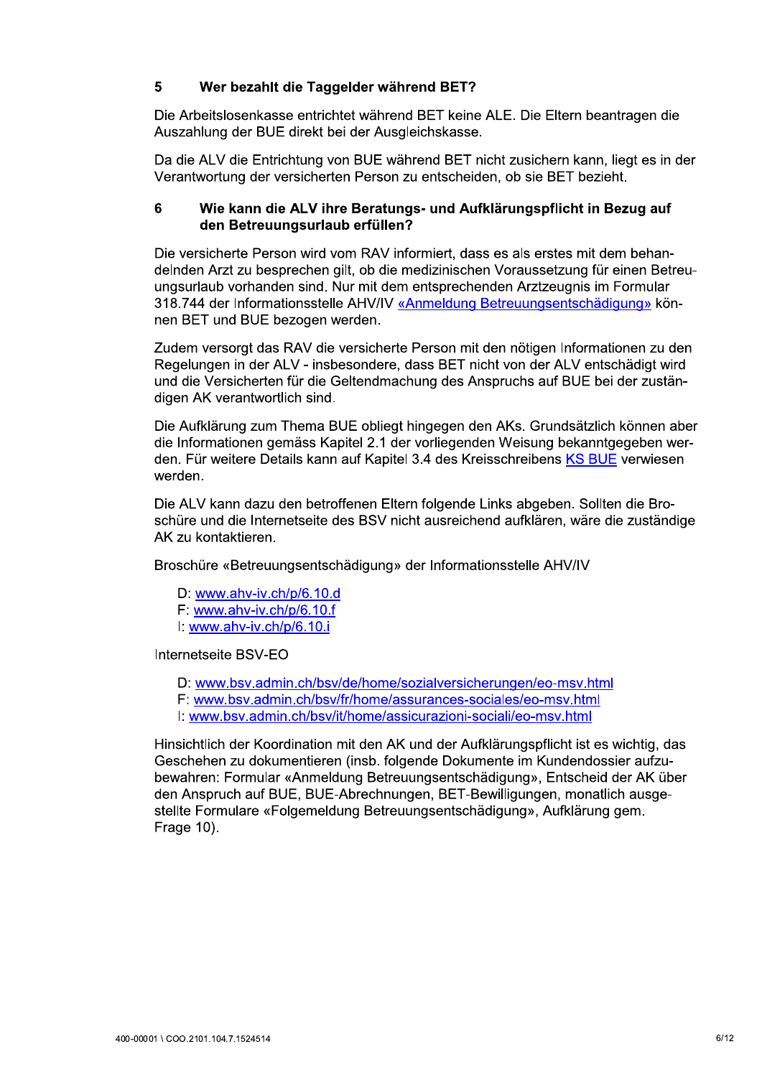## 5 Wer bezahlt die Taggelder während BET?

Die Arbeitslosenkasse entrichtet während BET keine ALE. Die Eltern beantragen die Auszahlung der BUE direkt bei der Ausgleichskasse.

Da die ALV die Entrichtung von BUE während BET nicht zusichern kann, liegt es in der Verantwortung der versicherten Person zu entscheiden, ob sie BET bezieht.

## 6 Wie kann die ALV ihre Beratungs- und Aufklärungspflicht in Bezug auf den Betreuungsurlaub erfüllen?

Die versicherte Person wird vom RAV informiert, dass es als erstes mit dem behandelnden Arzt zu besprechen gilt, ob die medizinischen Voraussetzung für einen Betreuungsurlaub vorhanden sind. Nur mit dem entsprechenden Arztzeugnis im Formular 318.744 der Informationsstelle AHV/IV «Anmeldung Betreuungsentschädigung» können BET und BUE bezogen werden.

Zudem versorgt das RAV die versicherte Person mit den nötigen Informationen zu den Regelungen in der ALV - insbesondere, dass BET nicht von der ALV entschädigt wird und die Versicherten für die Geltendmachung des Anspruchs auf BUE bei der zuständigen AK verantwortlich sind.

Die Aufklärung zum Thema BUE obliegt hingegen den AKs. Grundsätzlich können aber die Informationen gemäss Kapitel 2.1 der vorliegenden Weisung bekanntgegeben werden. Für weitere Details kann auf Kapitel 3.4 des Kreisschreibens KS BUE verwiesen werden.

Die ALV kann dazu den betroffenen Eltern folgende Links abgeben. Sollten die Broschüre und die Internetseite des BSV nicht ausreichend aufklären, wäre die zuständige AK zu kontaktieren.

Broschüre «Betreuungsentschädigung» der Informationsstelle AHV/IV

D: www.ahv-iv.ch/p/6.10.d  $F$  www.ahv-iv.ch/p/6.10.f I: www.ahv-iv.ch/p/6.10.i

Internetseite BSV-EO

- D: www.bsv.admin.ch/bsv/de/home/sozialversicherungen/eo-msv.html
- F: www.bsv.admin.ch/bsv/fr/home/assurances-sociales/eo-msv.html
- I: www.bsv.admin.ch/bsv/it/home/assicurazioni-sociali/eo-msv.html

Hinsichtlich der Koordination mit den AK und der Aufklärungspflicht ist es wichtig, das Geschehen zu dokumentieren (insb. folgende Dokumente im Kundendossier aufzubewahren: Formular «Anmeldung Betreuungsentschädigung», Entscheid der AK über den Anspruch auf BUE, BUE-Abrechnungen, BET-Bewilligungen, monatlich ausgestellte Formulare «Folgemeldung Betreuungsentschädigung», Aufklärung gem. Frage 10).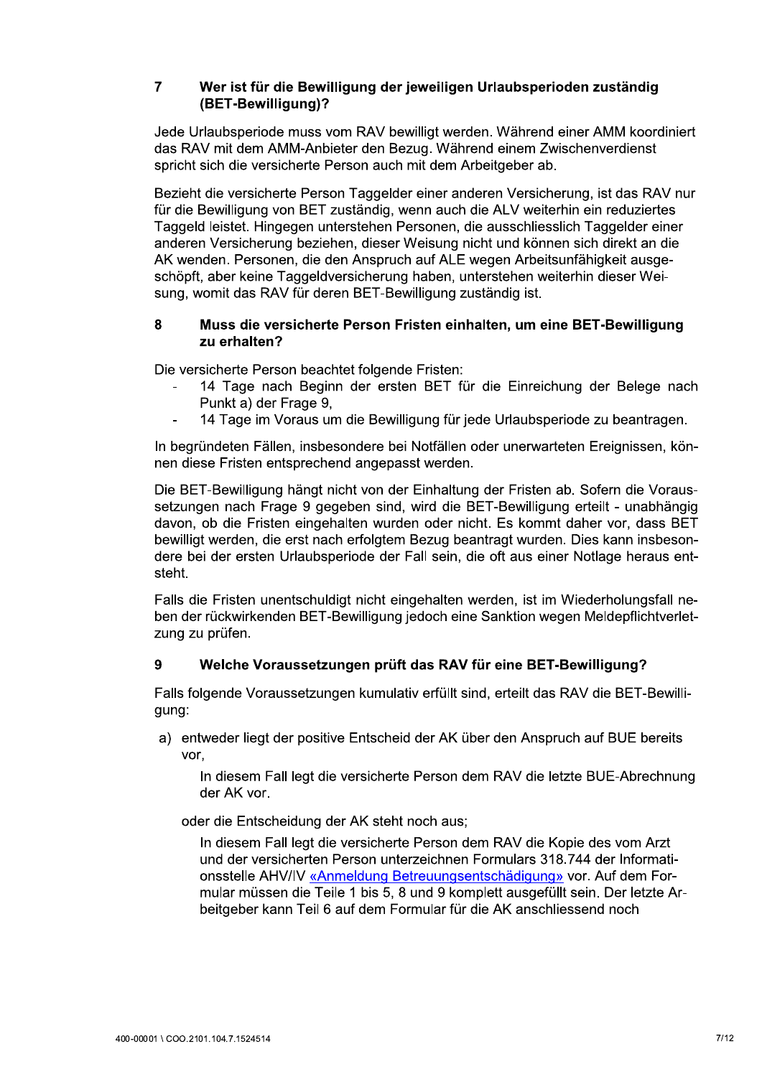# 7 Wer ist für die Bewilligung der jeweiligen Urlaubsperioden zuständig<br>(BET-Bewilligung)?

Jede Urlaubsperiode muss vom RAV bewilligt werden. Während einer AMM koordiniert das RAV mit dem AMM-Anbieter den Bezug. Während einem Zwischenverdienst spricht sich die versicherte Person auch mit dem Arbeitgeber ab.

7 Wer ist für die Bewilligu<br>
(BET-Bewilligung)?<br>
Jede Urlaubsperiode muss vom<br>
das RAV mit dem AMM-Anbieter<br>
spricht sich die versicherte Person<br>
Bezieht die versicherte Person T<br>
für die Bewilligung von BET zust<br>
Taggeld Bezieht die versicherte Person Taggelder einer anderen Versicherung, ist das RAV nur für die Bewilligung von BET zuständig, wenn auch die ALV weiterhin ein reduziertes Taggeld leistet. Hingegen unterstehen Personen, die ausschliesslich Taggelder einer anderen Versicherung beziehen, dieser Weisung nicht und können sich direkt an die AK wenden. Personen, die den Anspruch auf ALE wegen Arbeitsunfähigkeit ausgeschöpft, aber keine Taggeldversicherung haben, unterstehen weiterhin dieser Weisung, womit das RAV für deren BET-Bewilligung zuständig ist. Bezieht die versicherte Person Taggelder einer anderen Versicherung, ist das RAV nur<br>
für die Bewilligung von BET zuständig, wenn auch die ALV weiterhin ein reduziertes<br>
Taggeld leistet. Hingegen unterstehen Personen, die

## zu erhalten?

Die versicherte Person beachtet folgende Fristen:

- 14 Lage hach Beginn der ersten BET für die Einreichung der Belege hach Punkt a) der Frage 9.
- 14 Tage im Voraus um die Bewilligung für jede Urlaubsperiode zu beantragen.

In begründeten Fällen, insbesondere bei Notfällen oder unerwarteten Ereignissen, können diese Fristen entsprechend angepasst werden.

Die BET-Bewilligung hängt nicht von der Einhaltung der Fristen ab. Sofern die Voraussetzungen nach Frage 9 gegeben sind, wird die BET-Bewilligung erteilt - unabhängig davon, ob die Fristen eingehalten wurden oder nicht. Es kommt daher vor, dass BET bewilligt werden, die erst nach erfolgtem Bezug beantragt wurden. Dies kann insbesondere bei der ersten Urlaubsperiode der Fall sein, die oft aus einer Notlage heraus entsteht. bewilligt werden, die erst nach erfolgtem Bezug beantragt wurden. Dies kann insbes<br>dere bei der ersten Urlaubsperiode der Fall sein, die oft aus einer Notlage heraus (steht.<br>Falls die Fristen unentschuldigt nicht eingehalt

Falls die Fristen unentschuldigt nicht eingehalten werden, ist im Wiederholungsfall neben der rückwirkenden BET-Bewilligung jedoch eine Sanktion wegen Meldepflichtverletzung zu prüfen.

Falls folgende Voraussetzungen kumulativ erfüllt sind, erteilt das RAV die BET-Bewilliqunq:

a) entweder liegt der positive Entscheid der AK über den Anspruch auf BUE bereits vor.

In diesem Fall legt die versicherte Person dem RAV die letzte BUE-Abrechnung der AK vor.

oder die Entscheidung der AK steht noch aus:

In diesem Fall legt die versicherte Person dem RAV die Kopie des vom Arzt und der Versicherten Person unterzeichnen Formulars 318.744 der Informationsstelle AHV/IV «Anmeldung Betreuungsentschädigung» vor. Auf dem Formular müssen die Teile 1 bis 5, 8 und 9 komplett ausgefüllt sein. Der letzte Arbeitgeber kann Teil 6 auf dem Formular für die AK anschliessend noch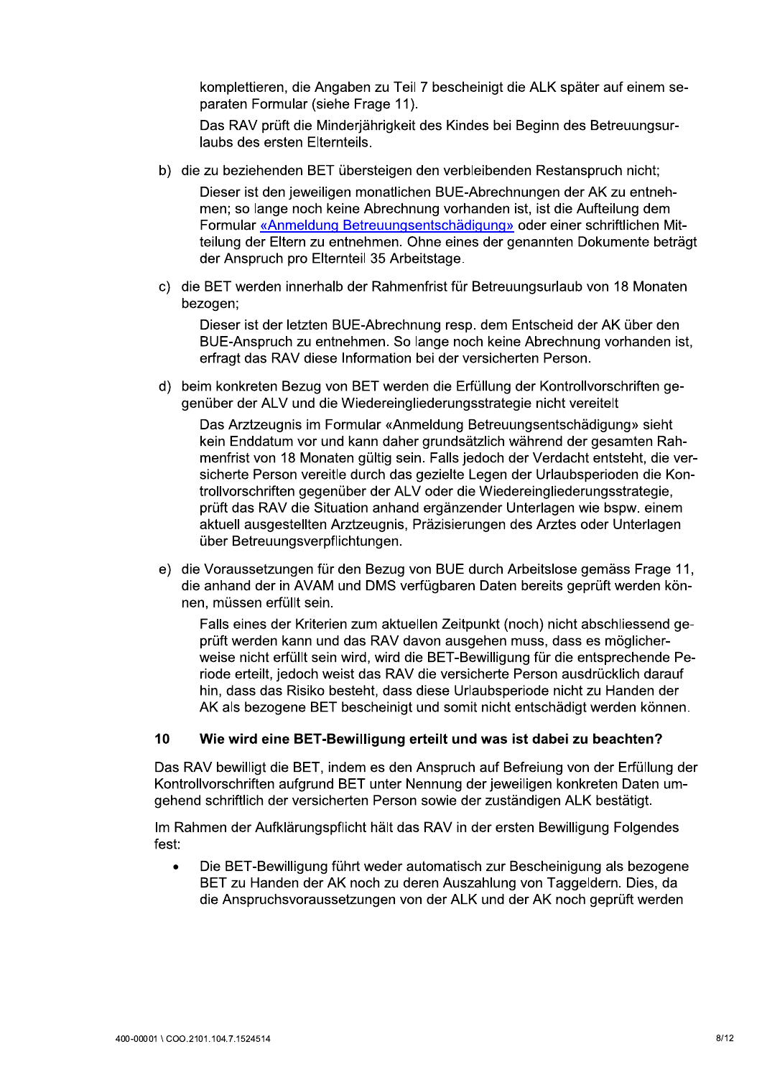komplettieren, die Angaben zu Teil 7 bescheinigt die ALK später auf einem separaten Formular (siehe Frage 11).

Das RAV prüft die Minderiährigkeit des Kindes bei Beginn des Betreuungsurlaubs des ersten Elternteils.

b) die zu beziehenden BET übersteigen den verbleibenden Restanspruch nicht;

Dieser ist den jeweiligen monatlichen BUE-Abrechnungen der AK zu entnehmen; so lange noch keine Abrechnung vorhanden ist, ist die Aufteilung dem Formular «Anmeldung Betreuungsentschädigung» oder einer schriftlichen Mitteilung der Eltern zu entnehmen. Ohne eines der genannten Dokumente beträgt der Anspruch pro Elternteil 35 Arbeitstage.

c) die BET werden innerhalb der Rahmenfrist für Betreuungsurlaub von 18 Monaten bezogen:

Dieser ist der letzten BUE-Abrechnung resp. dem Entscheid der AK über den BUE-Anspruch zu entnehmen. So lange noch keine Abrechnung vorhanden ist, erfragt das RAV diese Information bei der versicherten Person.

d) beim konkreten Bezug von BET werden die Erfüllung der Kontrollvorschriften gegenüber der ALV und die Wiedereingliederungsstrategie nicht vereitelt

Das Arztzeugnis im Formular «Anmeldung Betreuungsentschädigung» sieht kein Enddatum vor und kann daher grundsätzlich während der gesamten Rahmenfrist von 18 Monaten gültig sein. Falls jedoch der Verdacht entsteht, die versicherte Person vereitle durch das gezielte Legen der Urlaubsperioden die Kontrollvorschriften gegenüber der ALV oder die Wiedereingliederungsstrategie, prüft das RAV die Situation anhand ergänzender Unterlagen wie bspw. einem aktuell ausgestellten Arztzeugnis, Präzisierungen des Arztes oder Unterlagen über Betreuungsverpflichtungen.

e) die Voraussetzungen für den Bezug von BUE durch Arbeitslose gemäss Frage 11, die anhand der in AVAM und DMS verfügbaren Daten bereits geprüft werden können, müssen erfüllt sein.

Falls eines der Kriterien zum aktuellen Zeitpunkt (noch) nicht abschliessend geprüft werden kann und das RAV davon ausgehen muss, dass es möglicherweise nicht erfüllt sein wird, wird die BET-Bewilligung für die entsprechende Periode erteilt, jedoch weist das RAV die versicherte Person ausdrücklich darauf hin, dass das Risiko besteht, dass diese Urlaubsperiode nicht zu Handen der AK als bezogene BET bescheinigt und somit nicht entschädigt werden können.

## $10$ Wie wird eine BET-Bewilligung erteilt und was ist dabei zu beachten?

Das RAV bewilligt die BET, indem es den Anspruch auf Befreiung von der Erfüllung der Kontrollvorschriften aufgrund BET unter Nennung der jeweiligen konkreten Daten umgehend schriftlich der versicherten Person sowie der zuständigen ALK bestätigt.

Im Rahmen der Aufklärungspflicht hält das RAV in der ersten Bewilligung Folgendes fest:

Die BET-Bewilligung führt weder automatisch zur Bescheinigung als bezogene  $\bullet$ BET zu Handen der AK noch zu deren Auszahlung von Taggeldern. Dies, da die Anspruchsvoraussetzungen von der ALK und der AK noch geprüft werden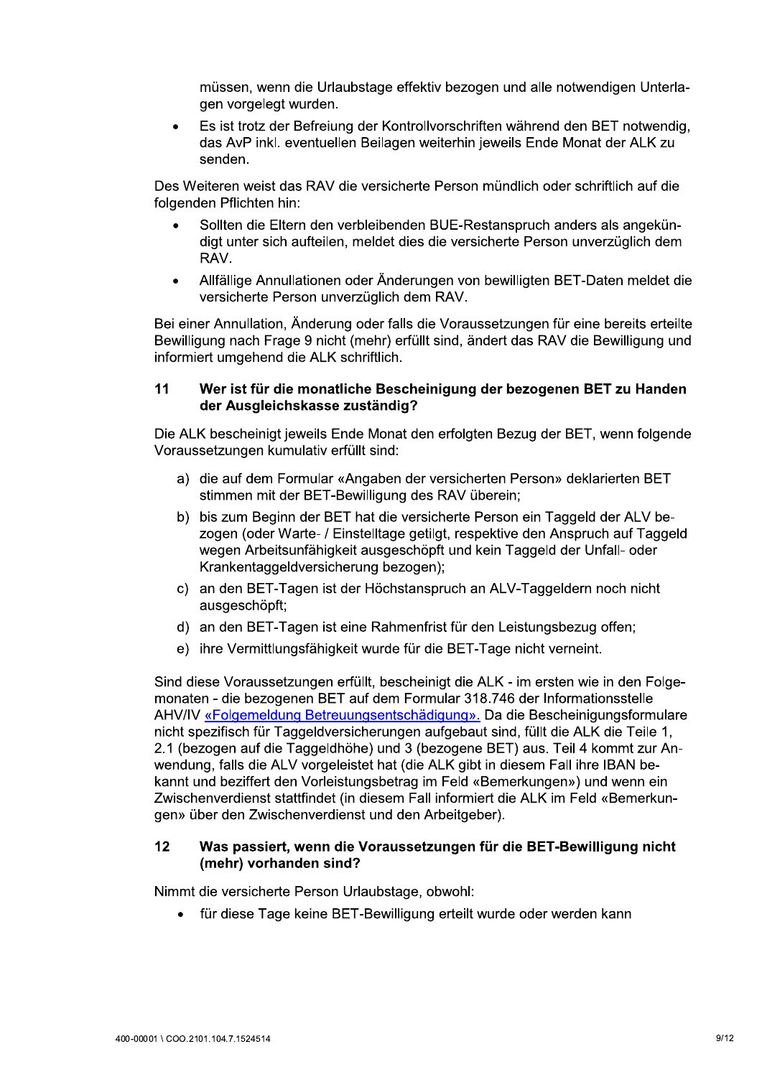müssen, wenn die Urlaubstage effektiv bezogen und alle notwendigen Unterlagen vorgelegt wurden.

Es ist trotz der Befreiung der Kontrollvorschriften während den BET notwendig,  $\bullet$ das AvP inkl. eventuellen Beilagen weiterhin jeweils Ende Monat der ALK zu senden.

Des Weiteren weist das RAV die versicherte Person mündlich oder schriftlich auf die folgenden Pflichten hin:

- Sollten die Eltern den verbleibenden BUE-Restanspruch anders als angekündigt unter sich aufteilen, meldet dies die versicherte Person unverzüglich dem RAV.
- Allfällige Annullationen oder Änderungen von bewilligten BET-Daten meldet die  $\bullet$ versicherte Person unverzüglich dem RAV.

Bei einer Annullation, Änderung oder falls die Voraussetzungen für eine bereits erteilte Bewilligung nach Frage 9 nicht (mehr) erfüllt sind, ändert das RAV die Bewilligung und informiert umgehend die ALK schriftlich.

## $11$ Wer ist für die monatliche Bescheinigung der bezogenen BET zu Handen der Ausgleichskasse zuständig?

Die ALK bescheinigt jeweils Ende Monat den erfolgten Bezug der BET, wenn folgende Voraussetzungen kumulativ erfüllt sind:

- a) die auf dem Formular «Angaben der versicherten Person» deklarierten BET stimmen mit der BET-Bewilligung des RAV überein;
- b) bis zum Beginn der BET hat die versicherte Person ein Taggeld der ALV bezogen (oder Warte- / Einstelltage getilgt, respektive den Anspruch auf Taggeld wegen Arbeitsunfähigkeit ausgeschöpft und kein Taggeld der Unfall- oder Krankentaggeldversicherung bezogen);
- c) an den BET-Tagen ist der Höchstanspruch an ALV-Taggeldern noch nicht ausgeschöpft;
- d) an den BET-Tagen ist eine Rahmenfrist für den Leistungsbezug offen;
- e) ihre Vermittlungsfähigkeit wurde für die BET-Tage nicht verneint.

Sind diese Voraussetzungen erfüllt, bescheinigt die ALK - im ersten wie in den Folgemonaten - die bezogenen BET auf dem Formular 318.746 der Informationsstelle AHV/IV «Folgemeldung Betreuungsentschädigung». Da die Bescheinigungsformulare nicht spezifisch für Taggeldversicherungen aufgebaut sind, füllt die ALK die Teile 1, 2.1 (bezogen auf die Taggeldhöhe) und 3 (bezogene BET) aus. Teil 4 kommt zur Anwendung, falls die ALV vorgeleistet hat (die ALK gibt in diesem Fall ihre IBAN bekannt und beziffert den Vorleistungsbetrag im Feld «Bemerkungen») und wenn ein Zwischenverdienst stattfindet (in diesem Fall informiert die ALK im Feld «Bemerkungen» über den Zwischenverdienst und den Arbeitgeber).

## Was passiert, wenn die Voraussetzungen für die BET-Bewilligung nicht  $12$ (mehr) vorhanden sind?

Nimmt die versicherte Person Urlaubstage, obwohl:

für diese Tage keine BET-Bewilligung erteilt wurde oder werden kann  $\bullet$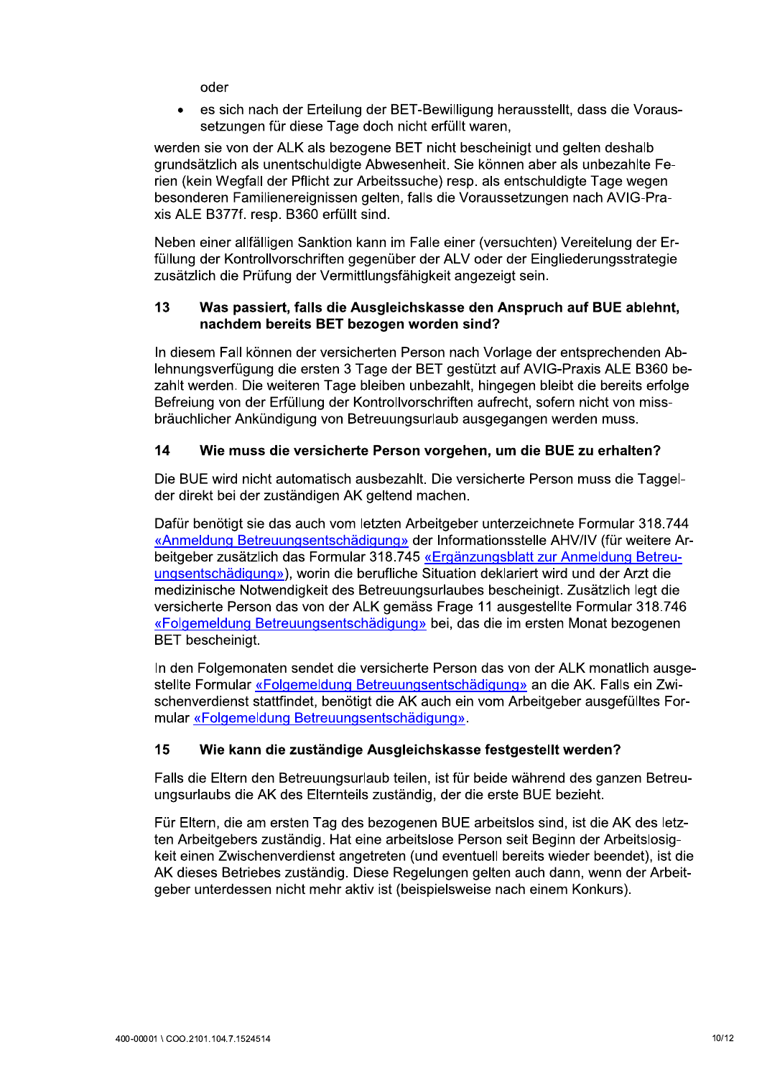oder

es sich nach der Erteilung der BET-Bewilligung herausstellt, dass die Voraus- $\bullet$ setzungen für diese Tage doch nicht erfüllt waren,

werden sie von der ALK als bezogene BET nicht bescheinigt und gelten deshalb grundsätzlich als unentschuldigte Abwesenheit. Sie können aber als unbezahlte Ferien (kein Wegfall der Pflicht zur Arbeitssuche) resp. als entschuldigte Tage wegen besonderen Familienereignissen gelten, falls die Voraussetzungen nach AVIG-Praxis ALE B377f. resp. B360 erfüllt sind.

Neben einer allfälligen Sanktion kann im Falle einer (versuchten) Vereitelung der Erfüllung der Kontrollvorschriften gegenüber der ALV oder der Eingliederungsstrategie zusätzlich die Prüfung der Vermittlungsfähigkeit angezeigt sein.

## 13 Was passiert, falls die Ausgleichskasse den Anspruch auf BUE ablehnt, nachdem bereits BET bezogen worden sind?

In diesem Fall können der versicherten Person nach Vorlage der entsprechenden Ablehnungsverfügung die ersten 3 Tage der BET gestützt auf AVIG-Praxis ALE B360 bezahlt werden. Die weiteren Tage bleiben unbezahlt, hingegen bleibt die bereits erfolge Befreiung von der Erfüllung der Kontrollvorschriften aufrecht, sofern nicht von missbräuchlicher Ankündigung von Betreuungsurlaub ausgegangen werden muss.

## 14 Wie muss die versicherte Person vorgehen, um die BUE zu erhalten?

Die BUE wird nicht automatisch ausbezahlt. Die versicherte Person muss die Taggelder direkt bei der zuständigen AK geltend machen.

Dafür benötigt sie das auch vom letzten Arbeitgeber unterzeichnete Formular 318.744 «Anmeldung Betreuungsentschädigung» der Informationsstelle AHV/IV (für weitere Arbeitgeber zusätzlich das Formular 318.745 «Ergänzungsblatt zur Anmeldung Betreuungsentschädigung»), worin die berufliche Situation deklariert wird und der Arzt die medizinische Notwendigkeit des Betreuungsurlaubes bescheinigt. Zusätzlich legt die versicherte Person das von der ALK gemäss Frage 11 ausgestellte Formular 318.746 «Folgemeldung Betreuungsentschädigung» bei, das die im ersten Monat bezogenen **BET** bescheinigt.

In den Folgemonaten sendet die versicherte Person das von der ALK monatlich ausgestellte Formular «Folgemeldung Betreuungsentschädigung» an die AK. Falls ein Zwischenverdienst stattfindet, benötigt die AK auch ein vom Arbeitgeber ausgefülltes Formular «Folgemeldung Betreuungsentschädigung».

## 15 Wie kann die zuständige Ausgleichskasse festgestellt werden?

Falls die Eltern den Betreuungsurlaub teilen, ist für beide während des ganzen Betreuungsurlaubs die AK des Elternteils zuständig, der die erste BUE bezieht.

Für Eltern, die am ersten Tag des bezogenen BUE arbeitslos sind, ist die AK des letzten Arbeitgebers zuständig. Hat eine arbeitslose Person seit Beginn der Arbeitslosigkeit einen Zwischenverdienst angetreten (und eventuell bereits wieder beendet), ist die AK dieses Betriebes zuständig. Diese Regelungen gelten auch dann, wenn der Arbeitgeber unterdessen nicht mehr aktiv ist (beispielsweise nach einem Konkurs).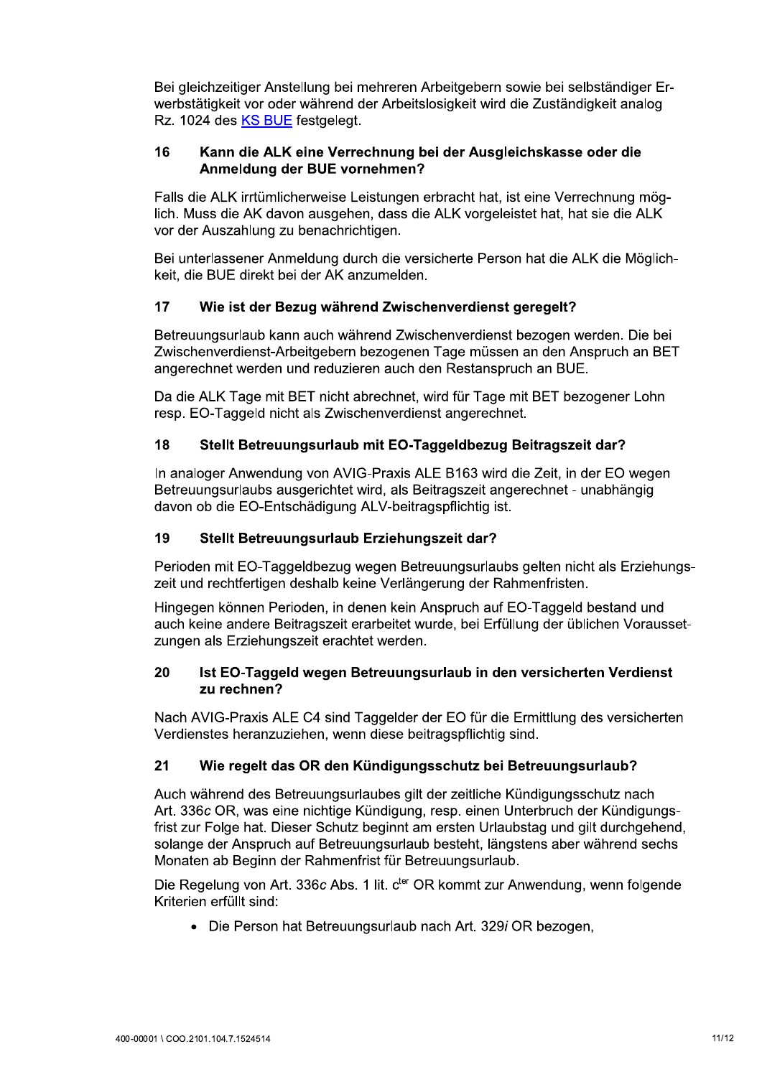Bei gleichzeitiger Anstellung bei mehreren Arbeitgebern sowie bei selbständiger Erwerbstätigkeit vor oder während der Arbeitslosigkeit wird die Zuständigkeit analog Rz. 1024 des KS BUE festgelegt.

## 16 Kann die ALK eine Verrechnung bei der Ausgleichskasse oder die Anmeldung der BUE vornehmen?

Falls die ALK irrtümlicherweise Leistungen erbracht hat, ist eine Verrechnung möglich. Muss die AK davon ausgehen, dass die ALK vorgeleistet hat, hat sie die ALK vor der Auszahlung zu benachrichtigen.

Bei unterlassener Anmeldung durch die versicherte Person hat die ALK die Möglichkeit, die BUE direkt bei der AK anzumelden.

## $17$ Wie ist der Bezug während Zwischenverdienst geregelt?

Betreuungsurlaub kann auch während Zwischenverdienst bezogen werden. Die bei Zwischenverdienst-Arbeitgebern bezogenen Tage müssen an den Anspruch an BET angerechnet werden und reduzieren auch den Restanspruch an BUE.

Da die ALK Tage mit BET nicht abrechnet, wird für Tage mit BET bezogener Lohn resp. EO-Taggeld nicht als Zwischenverdienst angerechnet.

## 18 Stellt Betreuungsurlaub mit EO-Taggeldbezug Beitragszeit dar?

In analoger Anwendung von AVIG-Praxis ALE B163 wird die Zeit, in der EO wegen Betreuungsurlaubs ausgerichtet wird, als Beitragszeit angerechnet - unabhängig davon ob die EO-Entschädigung ALV-beitragspflichtig ist.

## 19 Stellt Betreuungsurlaub Erziehungszeit dar?

Perioden mit EO-Taggeldbezug wegen Betreuungsurlaubs gelten nicht als Erziehungszeit und rechtfertigen deshalb keine Verlängerung der Rahmenfristen.

Hingegen können Perioden, in denen kein Anspruch auf EO-Taggeld bestand und auch keine andere Beitragszeit erarbeitet wurde, bei Erfüllung der üblichen Voraussetzungen als Erziehungszeit erachtet werden.

## 20 Ist EO-Taggeld wegen Betreuungsurlaub in den versicherten Verdienst zu rechnen?

Nach AVIG-Praxis ALE C4 sind Taggelder der EO für die Ermittlung des versicherten Verdienstes heranzuziehen, wenn diese beitragspflichtig sind.

## Wie regelt das OR den Kündigungsschutz bei Betreuungsurlaub?  $21$

Auch während des Betreuungsurlaubes gilt der zeitliche Kündigungsschutz nach Art. 336c OR, was eine nichtige Kündigung, resp. einen Unterbruch der Kündigungsfrist zur Folge hat. Dieser Schutz beginnt am ersten Urlaubstag und gilt durchgehend, solange der Anspruch auf Betreuungsurlaub besteht, längstens aber während sechs Monaten ab Beginn der Rahmenfrist für Betreuungsurlaub.

Die Regelung von Art. 336c Abs. 1 lit. c<sup>ter</sup> OR kommt zur Anwendung, wenn folgende Kriterien erfüllt sind:

• Die Person hat Betreuungsurlaub nach Art. 329i OR bezogen,